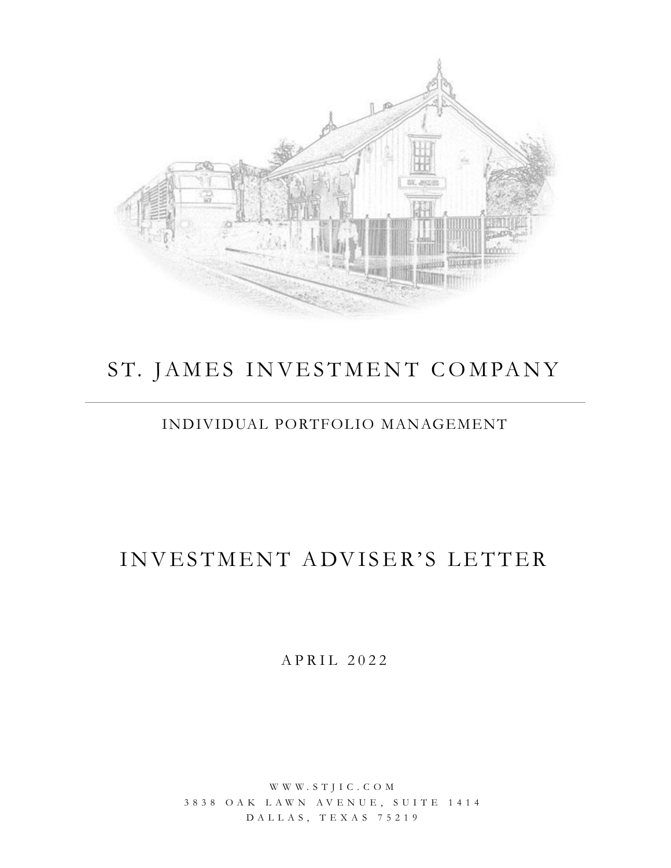

# ST. JAMES INVESTMENT COMPANY

## INDIVIDUAL PORTFOLIO MANAGEMENT

# INVESTMENT ADVISER'S LETTER

A P R I L 2 0 2 2

W W W . S T J I C . C O M 3 8 3 8 O A K L A W N A V E N U E , S U I T E 1 4 1 4 D A L L A S , T E X A S 7 5 2 1 9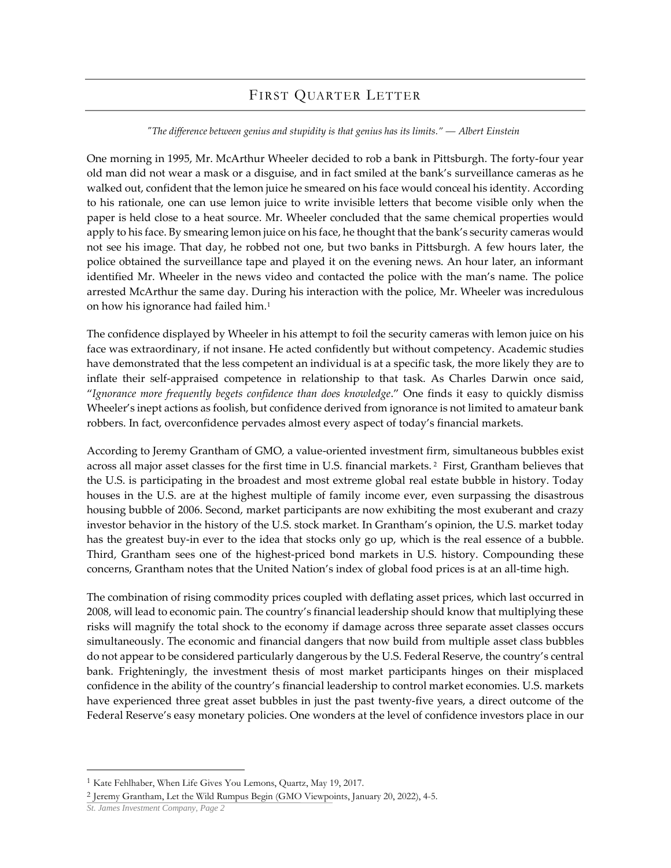### FIRST QUARTER LETTER

### *"The difference between genius and stupidity is that genius has its limits." ― Albert Einstein*

One morning in 1995, Mr. McArthur Wheeler decided to rob a bank in Pittsburgh. The forty-four year old man did not wear a mask or a disguise, and in fact smiled at the bank's surveillance cameras as he walked out, confident that the lemon juice he smeared on his face would conceal his identity. According to his rationale, one can use lemon juice to write invisible letters that become visible only when the paper is held close to a heat source. Mr. Wheeler concluded that the same chemical properties would apply to his face. By smearing lemon juice on his face, he thought that the bank's security cameras would not see his image. That day, he robbed not one, but two banks in Pittsburgh. A few hours later, the police obtained the surveillance tape and played it on the evening news. An hour later, an informant identified Mr. Wheeler in the news video and contacted the police with the man's name. The police arrested McArthur the same day. During his interaction with the police, Mr. Wheeler was incredulous on how his ignorance had failed him.<sup>1</sup>

The confidence displayed by Wheeler in his attempt to foil the security cameras with lemon juice on his face was extraordinary, if not insane. He acted confidently but without competency. Academic studies have demonstrated that the less competent an individual is at a specific task, the more likely they are to inflate their self-appraised competence in relationship to that task. As Charles Darwin once said, "*Ignorance more frequently begets confidence than does knowledge*." One finds it easy to quickly dismiss Wheeler's inept actions as foolish, but confidence derived from ignorance is not limited to amateur bank robbers. In fact, overconfidence pervades almost every aspect of today's financial markets.

According to Jeremy Grantham of GMO, a value-oriented investment firm, simultaneous bubbles exist across all major asset classes for the first time in U.S. financial markets. <sup>2</sup> First, Grantham believes that the U.S. is participating in the broadest and most extreme global real estate bubble in history. Today houses in the U.S. are at the highest multiple of family income ever, even surpassing the disastrous housing bubble of 2006. Second, market participants are now exhibiting the most exuberant and crazy investor behavior in the history of the U.S. stock market. In Grantham's opinion, the U.S. market today has the greatest buy-in ever to the idea that stocks only go up, which is the real essence of a bubble. Third, Grantham sees one of the highest-priced bond markets in U.S. history. Compounding these concerns, Grantham notes that the United Nation's index of global food prices is at an all-time high.

The combination of rising commodity prices coupled with deflating asset prices, which last occurred in 2008, will lead to economic pain. The country's financial leadership should know that multiplying these risks will magnify the total shock to the economy if damage across three separate asset classes occurs simultaneously. The economic and financial dangers that now build from multiple asset class bubbles do not appear to be considered particularly dangerous by the U.S. Federal Reserve, the country's central bank. Frighteningly, the investment thesis of most market participants hinges on their misplaced confidence in the ability of the country's financial leadership to control market economies. U.S. markets have experienced three great asset bubbles in just the past twenty-five years, a direct outcome of the Federal Reserve's easy monetary policies. One wonders at the level of confidence investors place in our

<sup>1</sup> Kate Fehlhaber, When Life Gives You Lemons, Quartz, May 19, 2017.

<sup>2</sup> Jeremy Grantham, Let the Wild Rumpus Begin (GMO Viewpoints, January 20, 2022), 4-5.

*St. James Investment Company, Page 2*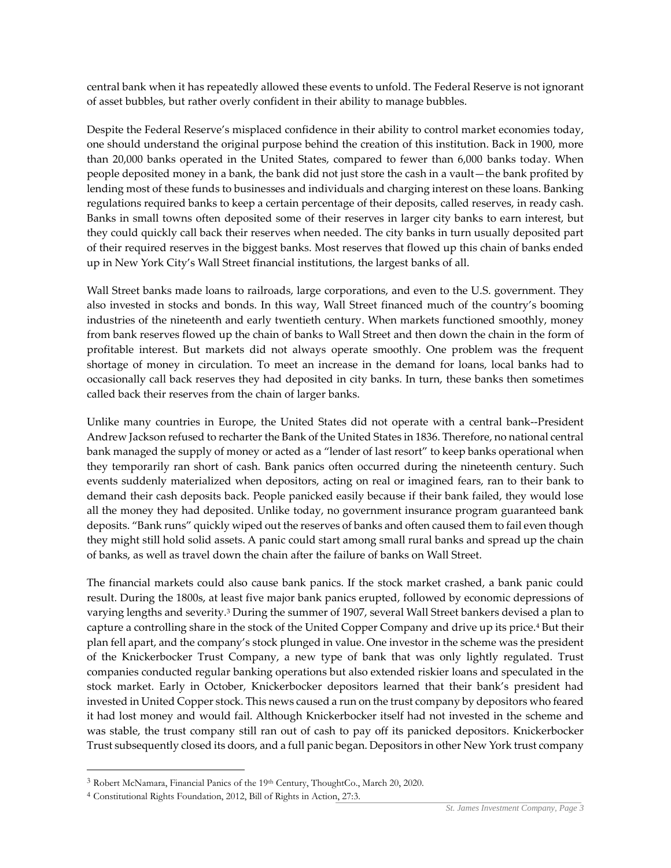central bank when it has repeatedly allowed these events to unfold. The Federal Reserve is not ignorant of asset bubbles, but rather overly confident in their ability to manage bubbles.

Despite the Federal Reserve's misplaced confidence in their ability to control market economies today, one should understand the original purpose behind the creation of this institution. Back in 1900, more than 20,000 banks operated in the United States, compared to fewer than 6,000 banks today. When people deposited money in a bank, the bank did not just store the cash in a vault—the bank profited by lending most of these funds to businesses and individuals and charging interest on these loans. Banking regulations required banks to keep a certain percentage of their deposits, called reserves, in ready cash. Banks in small towns often deposited some of their reserves in larger city banks to earn interest, but they could quickly call back their reserves when needed. The city banks in turn usually deposited part of their required reserves in the biggest banks. Most reserves that flowed up this chain of banks ended up in New York City's Wall Street financial institutions, the largest banks of all.

Wall Street banks made loans to railroads, large corporations, and even to the U.S. government. They also invested in stocks and bonds. In this way, Wall Street financed much of the country's booming industries of the nineteenth and early twentieth century. When markets functioned smoothly, money from bank reserves flowed up the chain of banks to Wall Street and then down the chain in the form of profitable interest. But markets did not always operate smoothly. One problem was the frequent shortage of money in circulation. To meet an increase in the demand for loans, local banks had to occasionally call back reserves they had deposited in city banks. In turn, these banks then sometimes called back their reserves from the chain of larger banks.

Unlike many countries in Europe, the United States did not operate with a central bank--President Andrew Jackson refused to recharter the Bank of the United States in 1836. Therefore, no national central bank managed the supply of money or acted as a "lender of last resort" to keep banks operational when they temporarily ran short of cash. Bank panics often occurred during the nineteenth century. Such events suddenly materialized when depositors, acting on real or imagined fears, ran to their bank to demand their cash deposits back. People panicked easily because if their bank failed, they would lose all the money they had deposited. Unlike today, no government insurance program guaranteed bank deposits. "Bank runs" quickly wiped out the reserves of banks and often caused them to fail even though they might still hold solid assets. A panic could start among small rural banks and spread up the chain of banks, as well as travel down the chain after the failure of banks on Wall Street.

The financial markets could also cause bank panics. If the stock market crashed, a bank panic could result. During the 1800s, at least five major bank panics erupted, followed by economic depressions of varying lengths and severity.<sup>3</sup> During the summer of 1907, several Wall Street bankers devised a plan to capture a controlling share in the stock of the United Copper Company and drive up its price.<sup>4</sup> But their plan fell apart, and the company's stock plunged in value. One investor in the scheme was the president of the Knickerbocker Trust Company, a new type of bank that was only lightly regulated. Trust companies conducted regular banking operations but also extended riskier loans and speculated in the stock market. Early in October, Knickerbocker depositors learned that their bank's president had invested in United Copper stock. This news caused a run on the trust company by depositors who feared it had lost money and would fail. Although Knickerbocker itself had not invested in the scheme and was stable, the trust company still ran out of cash to pay off its panicked depositors. Knickerbocker Trust subsequently closed its doors, and a full panic began. Depositors in other New York trust company

<sup>3</sup> Robert McNamara, Financial Panics of the 19th Century, ThoughtCo., March 20, 2020.

<sup>4</sup> Constitutional Rights Foundation, 2012, Bill of Rights in Action, 27:3.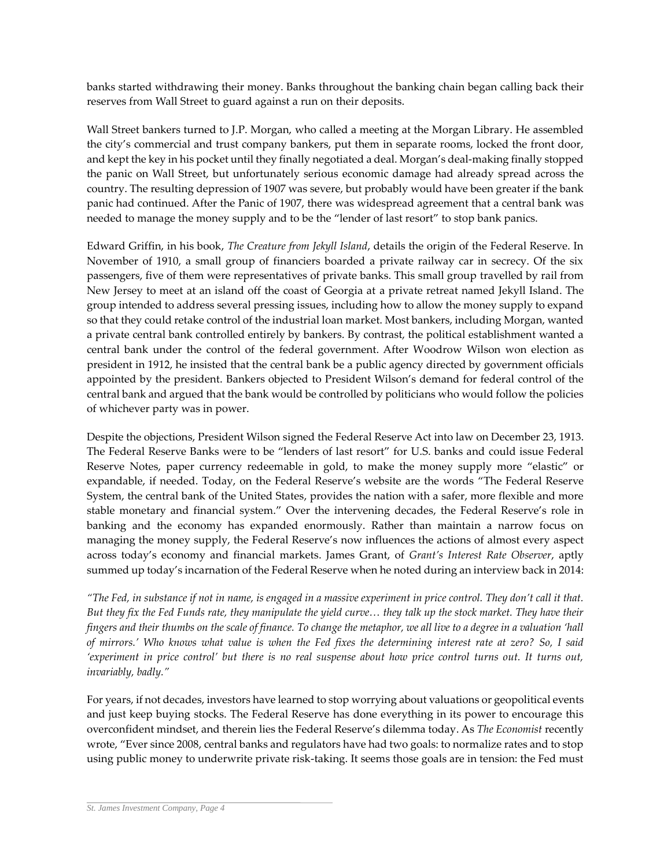banks started withdrawing their money. Banks throughout the banking chain began calling back their reserves from Wall Street to guard against a run on their deposits.

Wall Street bankers turned to J.P. Morgan, who called a meeting at the Morgan Library. He assembled the city's commercial and trust company bankers, put them in separate rooms, locked the front door, and kept the key in his pocket until they finally negotiated a deal. Morgan's deal-making finally stopped the panic on Wall Street, but unfortunately serious economic damage had already spread across the country. The resulting depression of 1907 was severe, but probably would have been greater if the bank panic had continued. After the Panic of 1907, there was widespread agreement that a central bank was needed to manage the money supply and to be the "lender of last resort" to stop bank panics.

Edward Griffin, in his book, *The Creature from Jekyll Island*, details the origin of the Federal Reserve. In November of 1910, a small group of financiers boarded a private railway car in secrecy. Of the six passengers, five of them were representatives of private banks. This small group travelled by rail from New Jersey to meet at an island off the coast of Georgia at a private retreat named Jekyll Island. The group intended to address several pressing issues, including how to allow the money supply to expand so that they could retake control of the industrial loan market. Most bankers, including Morgan, wanted a private central bank controlled entirely by bankers. By contrast, the political establishment wanted a central bank under the control of the federal government. After Woodrow Wilson won election as president in 1912, he insisted that the central bank be a public agency directed by government officials appointed by the president. Bankers objected to President Wilson's demand for federal control of the central bank and argued that the bank would be controlled by politicians who would follow the policies of whichever party was in power.

Despite the objections, President Wilson signed the Federal Reserve Act into law on December 23, 1913. The Federal Reserve Banks were to be "lenders of last resort" for U.S. banks and could issue Federal Reserve Notes, paper currency redeemable in gold, to make the money supply more "elastic" or expandable, if needed. Today, on the Federal Reserve's website are the words "The Federal Reserve System, the central bank of the United States, provides the nation with a safer, more flexible and more stable monetary and financial system." Over the intervening decades, the Federal Reserve's role in banking and the economy has expanded enormously. Rather than maintain a narrow focus on managing the money supply, the Federal Reserve's now influences the actions of almost every aspect across today's economy and financial markets. James Grant, of *Grant's Interest Rate Observer*, aptly summed up today's incarnation of the Federal Reserve when he noted during an interview back in 2014:

*"The Fed, in substance if not in name, is engaged in a massive experiment in price control. They don't call it that. But they fix the Fed Funds rate, they manipulate the yield curve… they talk up the stock market. They have their fingers and their thumbs on the scale of finance. To change the metaphor, we all live to a degree in a valuation 'hall of mirrors.' Who knows what value is when the Fed fixes the determining interest rate at zero? So, I said 'experiment in price control' but there is no real suspense about how price control turns out. It turns out, invariably, badly."*

For years, if not decades, investors have learned to stop worrying about valuations or geopolitical events and just keep buying stocks. The Federal Reserve has done everything in its power to encourage this overconfident mindset, and therein lies the Federal Reserve's dilemma today. As *The Economist* recently wrote, "Ever since 2008, central banks and regulators have had two goals: to normalize rates and to stop using public money to underwrite private risk-taking. It seems those goals are in tension: the Fed must

*St. James Investment Company, Page 4*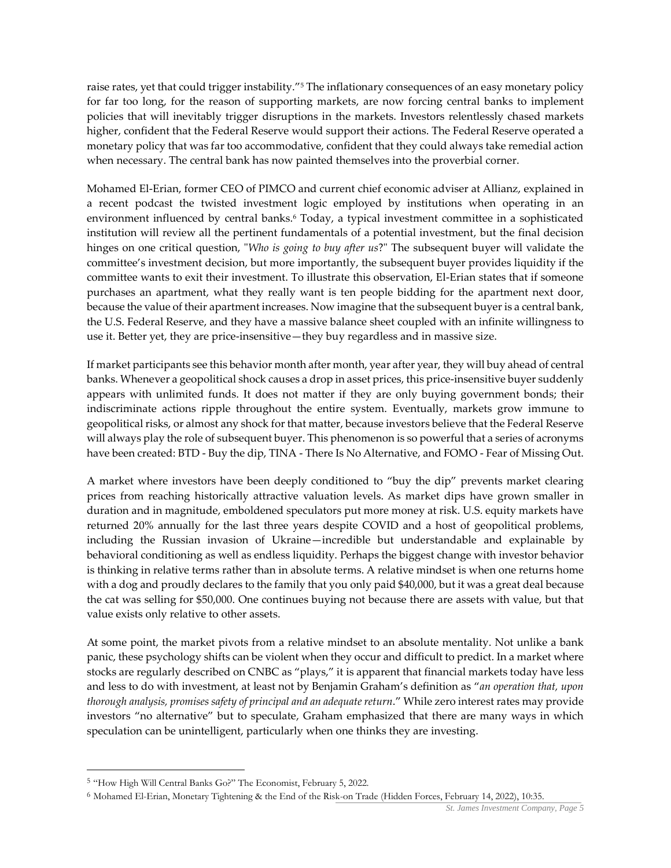raise rates, yet that could trigger instability."<sup>5</sup> The inflationary consequences of an easy monetary policy for far too long, for the reason of supporting markets, are now forcing central banks to implement policies that will inevitably trigger disruptions in the markets. Investors relentlessly chased markets higher, confident that the Federal Reserve would support their actions. The Federal Reserve operated a monetary policy that was far too accommodative, confident that they could always take remedial action when necessary. The central bank has now painted themselves into the proverbial corner.

Mohamed El-Erian, former CEO of PIMCO and current chief economic adviser at Allianz, explained in a recent podcast the twisted investment logic employed by institutions when operating in an environment influenced by central banks.<sup>6</sup> Today, a typical investment committee in a sophisticated institution will review all the pertinent fundamentals of a potential investment, but the final decision hinges on one critical question, "*Who is going to buy after us*?" The subsequent buyer will validate the committee's investment decision, but more importantly, the subsequent buyer provides liquidity if the committee wants to exit their investment. To illustrate this observation, El-Erian states that if someone purchases an apartment, what they really want is ten people bidding for the apartment next door, because the value of their apartment increases. Now imagine that the subsequent buyer is a central bank, the U.S. Federal Reserve, and they have a massive balance sheet coupled with an infinite willingness to use it. Better yet, they are price-insensitive—they buy regardless and in massive size.

If market participants see this behavior month after month, year after year, they will buy ahead of central banks. Whenever a geopolitical shock causes a drop in asset prices, this price-insensitive buyer suddenly appears with unlimited funds. It does not matter if they are only buying government bonds; their indiscriminate actions ripple throughout the entire system. Eventually, markets grow immune to geopolitical risks, or almost any shock for that matter, because investors believe that the Federal Reserve will always play the role of subsequent buyer. This phenomenon is so powerful that a series of acronyms have been created: BTD - Buy the dip, TINA - There Is No Alternative, and FOMO - Fear of Missing Out.

A market where investors have been deeply conditioned to "buy the dip" prevents market clearing prices from reaching historically attractive valuation levels. As market dips have grown smaller in duration and in magnitude, emboldened speculators put more money at risk. U.S. equity markets have returned 20% annually for the last three years despite COVID and a host of geopolitical problems, including the Russian invasion of Ukraine—incredible but understandable and explainable by behavioral conditioning as well as endless liquidity. Perhaps the biggest change with investor behavior is thinking in relative terms rather than in absolute terms. A relative mindset is when one returns home with a dog and proudly declares to the family that you only paid \$40,000, but it was a great deal because the cat was selling for \$50,000. One continues buying not because there are assets with value, but that value exists only relative to other assets.

At some point, the market pivots from a relative mindset to an absolute mentality. Not unlike a bank panic, these psychology shifts can be violent when they occur and difficult to predict. In a market where stocks are regularly described on CNBC as "plays," it is apparent that financial markets today have less and less to do with investment, at least not by Benjamin Graham's definition as "*an operation that, upon thorough analysis, promises safety of principal and an adequate return*." While zero interest rates may provide investors "no alternative" but to speculate, Graham emphasized that there are many ways in which speculation can be unintelligent, particularly when one thinks they are investing.

<sup>5</sup> "How High Will Central Banks Go?" The Economist, February 5, 2022.

<sup>6</sup> Mohamed El-Erian, Monetary Tightening & the End of the Risk-on Trade (Hidden Forces, February 14, 2022), 10:35.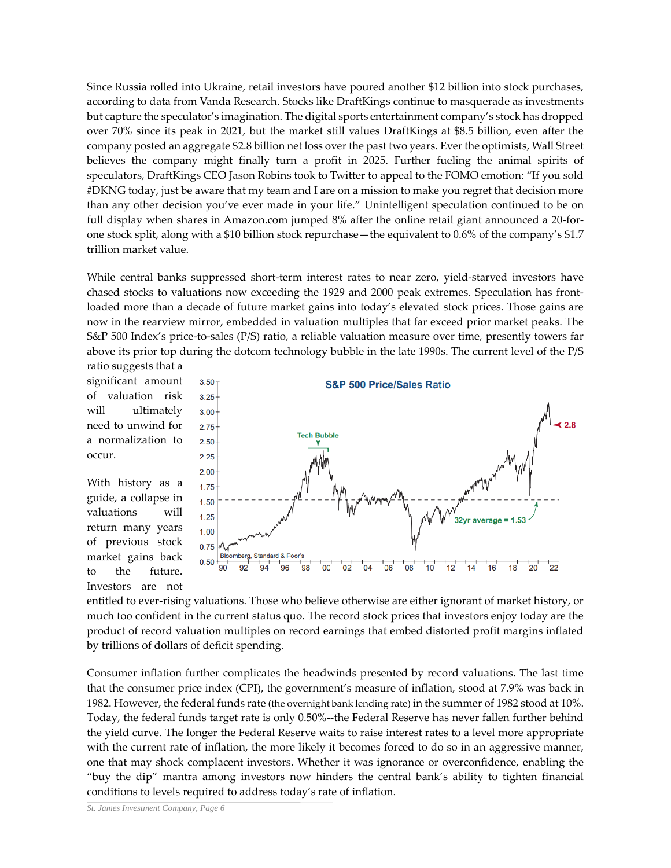Since Russia rolled into Ukraine, retail investors have poured another \$12 billion into stock purchases, according to data from Vanda Research. Stocks like DraftKings continue to masquerade as investments but capture the speculator's imagination. The digital sports entertainment company's stock has dropped over 70% since its peak in 2021, but the market still values DraftKings at \$8.5 billion, even after the company posted an aggregate \$2.8 billion net loss over the past two years. Ever the optimists, Wall Street believes the company might finally turn a profit in 2025. Further fueling the animal spirits of speculators, DraftKings CEO Jason Robins took to Twitter to appeal to the FOMO emotion: "If you sold #DKNG today, just be aware that my team and I are on a mission to make you regret that decision more than any other decision you've ever made in your life." Unintelligent speculation continued to be on full display when shares in Amazon.com jumped 8% after the online retail giant announced a 20-forone stock split, along with a \$10 billion stock repurchase—the equivalent to 0.6% of the company's \$1.7 trillion market value.

While central banks suppressed short-term interest rates to near zero, yield-starved investors have chased stocks to valuations now exceeding the 1929 and 2000 peak extremes. Speculation has frontloaded more than a decade of future market gains into today's elevated stock prices. Those gains are now in the rearview mirror, embedded in valuation multiples that far exceed prior market peaks. The S&P 500 Index's price-to-sales (P/S) ratio, a reliable valuation measure over time, presently towers far above its prior top during the dotcom technology bubble in the late 1990s. The current level of the P/S

ratio suggests that a significant amount of valuation risk will ultimately need to unwind for a normalization to occur.

With history as a guide, a collapse in valuations will return many years of previous stock market gains back to the future. Investors are not



entitled to ever-rising valuations. Those who believe otherwise are either ignorant of market history, or much too confident in the current status quo. The record stock prices that investors enjoy today are the product of record valuation multiples on record earnings that embed distorted profit margins inflated by trillions of dollars of deficit spending.

Consumer inflation further complicates the headwinds presented by record valuations. The last time that the consumer price index (CPI), the government's measure of inflation, stood at 7.9% was back in 1982. However, the federal funds rate (the overnight bank lending rate) in the summer of 1982 stood at 10%. Today, the federal funds target rate is only 0.50%--the Federal Reserve has never fallen further behind the yield curve. The longer the Federal Reserve waits to raise interest rates to a level more appropriate with the current rate of inflation, the more likely it becomes forced to do so in an aggressive manner, one that may shock complacent investors. Whether it was ignorance or overconfidence, enabling the "buy the dip" mantra among investors now hinders the central bank's ability to tighten financial conditions to levels required to address today's rate of inflation.

*St. James Investment Company, Page 6*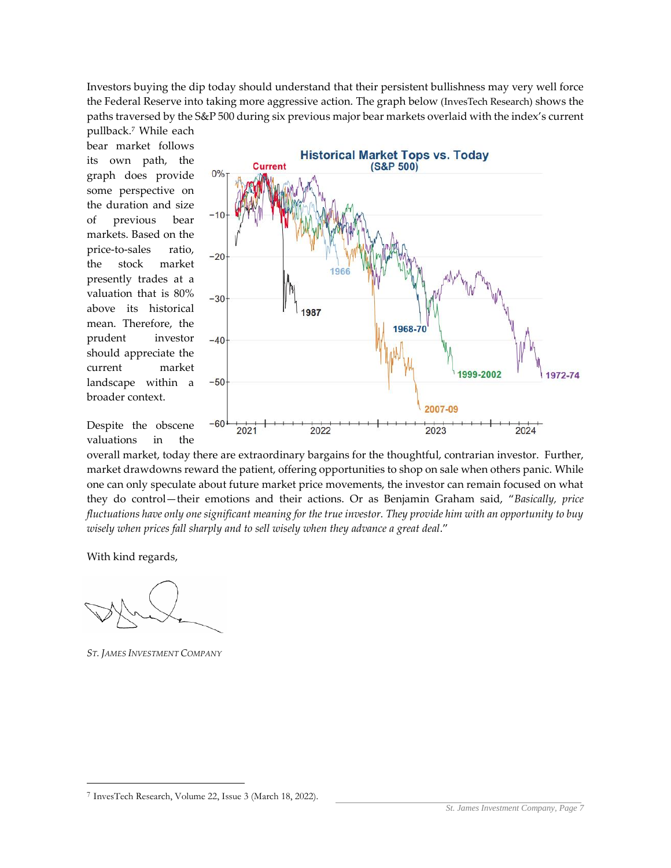Investors buying the dip today should understand that their persistent bullishness may very well force the Federal Reserve into taking more aggressive action. The graph below (InvesTech Research) shows the paths traversed by the S&P 500 during six previous major bear markets overlaid with the index's current

pullback.<sup>7</sup> While each bear market follows its own path, the graph does provide some perspective on the duration and size of previous bear markets. Based on the price-to-sales ratio, the stock market presently trades at a valuation that is 80% above its historical mean. Therefore, the prudent investor should appreciate the current market landscape within a broader context.



Despite the obscene valuations in the

overall market, today there are extraordinary bargains for the thoughtful, contrarian investor. Further, market drawdowns reward the patient, offering opportunities to shop on sale when others panic. While one can only speculate about future market price movements, the investor can remain focused on what they do control—their emotions and their actions. Or as Benjamin Graham said, "*Basically, price fluctuations have only one significant meaning for the true investor. They provide him with an opportunity to buy wisely when prices fall sharply and to sell wisely when they advance a great deal*."

With kind regards,

*ST. JAMES INVESTMENT COMPANY*

<sup>7</sup> InvesTech Research, Volume 22, Issue 3 (March 18, 2022).